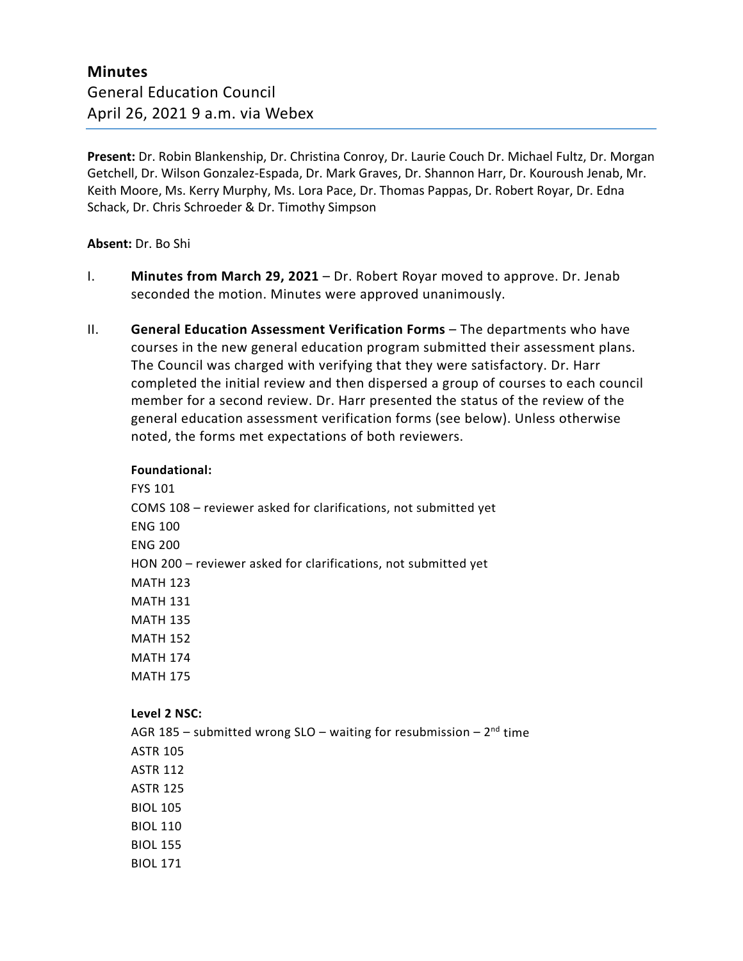**Present:** Dr. Robin Blankenship, Dr. Christina Conroy, Dr. Laurie Couch Dr. Michael Fultz, Dr. Morgan Getchell, Dr. Wilson Gonzalez-Espada, Dr. Mark Graves, Dr. Shannon Harr, Dr. Kouroush Jenab, Mr. Keith Moore, Ms. Kerry Murphy, Ms. Lora Pace, Dr. Thomas Pappas, Dr. Robert Royar, Dr. Edna Schack, Dr. Chris Schroeder & Dr. Timothy Simpson

### **Absent:** Dr. Bo Shi

- I. **Minutes from March 29, 2021** Dr. Robert Royar moved to approve. Dr. Jenab seconded the motion. Minutes were approved unanimously.
- II. **General Education Assessment Verification Forms** The departments who have courses in the new general education program submitted their assessment plans. The Council was charged with verifying that they were satisfactory. Dr. Harr completed the initial review and then dispersed a group of courses to each council member for a second review. Dr. Harr presented the status of the review of the general education assessment verification forms (see below). Unless otherwise noted, the forms met expectations of both reviewers.

#### **Foundational:**

FYS 101 COMS 108 – reviewer asked for clarifications, not submitted yet ENG 100 ENG 200 HON 200 – reviewer asked for clarifications, not submitted yet MATH 123 MATH 131 MATH 135 MATH 152 MATH 174 MATH 175

#### **Level 2 NSC:**

AGR 185 – submitted wrong SLO – waiting for resubmission –  $2^{nd}$  time ASTR 105 ASTR 112 ASTR 125 BIOL 105 BIOL 110 BIOL 155 BIOL 171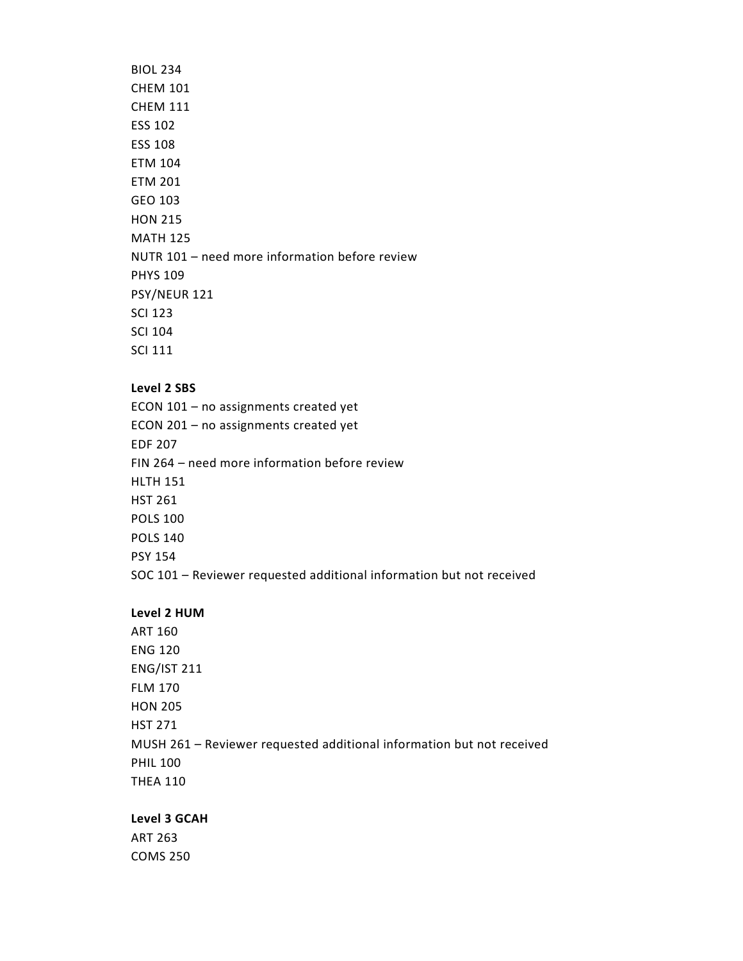### BIOL 234 CHEM 101 CHEM 111 ESS 102 ESS 108 ETM 104 ETM 201 GEO 103 HON 215 MATH 125 NUTR 101 – need more information before review PHYS 109 PSY/NEUR 121 SCI 123 SCI 104 SCI 111

#### **Level 2 SBS**

ECON 101 – no assignments created yet ECON 201 – no assignments created yet EDF 207 FIN 264 – need more information before review HLTH 151 HST 261 POLS 100 POLS 140 PSY 154 SOC 101 – Reviewer requested additional information but not received

#### **Level 2 HUM**

ART 160 ENG 120 ENG/IST 211 FLM 170 HON 205 HST 271 MUSH 261 – Reviewer requested additional information but not received PHIL 100 THEA 110

#### **Level 3 GCAH**

ART 263 COMS 250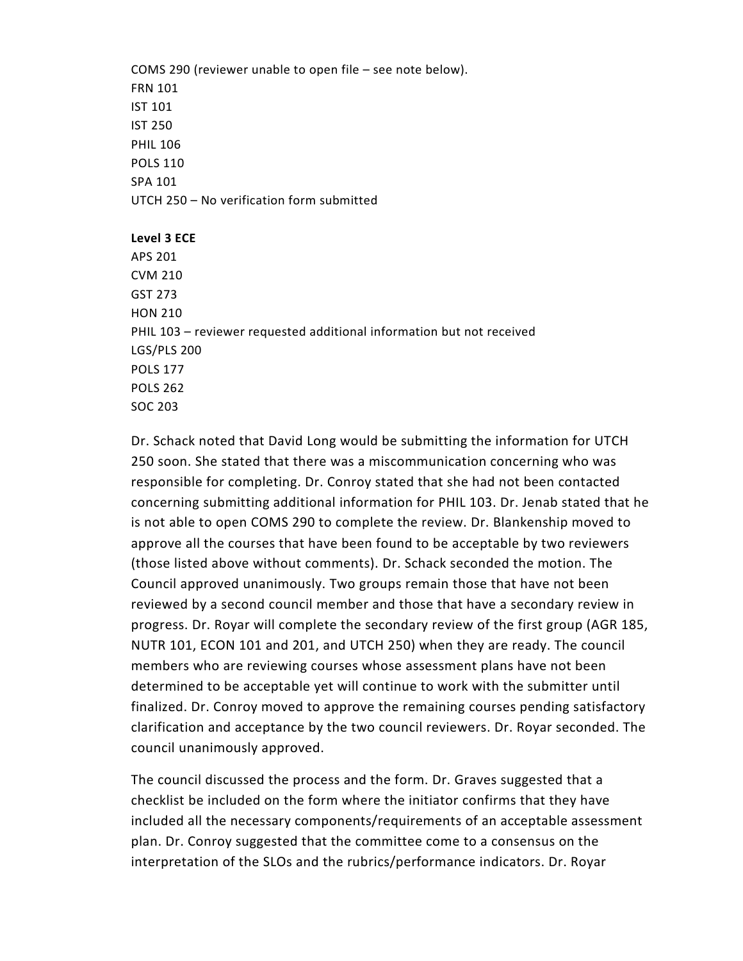COMS 290 (reviewer unable to open file – see note below). FRN 101 IST 101 IST 250 PHIL 106 POLS 110 SPA 101 UTCH 250 – No verification form submitted

**Level 3 ECE** APS 201 CVM 210 GST 273 HON 210 PHIL 103 – reviewer requested additional information but not received LGS/PLS 200 POLS 177 POLS 262 SOC 203

Dr. Schack noted that David Long would be submitting the information for UTCH 250 soon. She stated that there was a miscommunication concerning who was responsible for completing. Dr. Conroy stated that she had not been contacted concerning submitting additional information for PHIL 103. Dr. Jenab stated that he is not able to open COMS 290 to complete the review. Dr. Blankenship moved to approve all the courses that have been found to be acceptable by two reviewers (those listed above without comments). Dr. Schack seconded the motion. The Council approved unanimously. Two groups remain those that have not been reviewed by a second council member and those that have a secondary review in progress. Dr. Royar will complete the secondary review of the first group (AGR 185, NUTR 101, ECON 101 and 201, and UTCH 250) when they are ready. The council members who are reviewing courses whose assessment plans have not been determined to be acceptable yet will continue to work with the submitter until finalized. Dr. Conroy moved to approve the remaining courses pending satisfactory clarification and acceptance by the two council reviewers. Dr. Royar seconded. The council unanimously approved.

The council discussed the process and the form. Dr. Graves suggested that a checklist be included on the form where the initiator confirms that they have included all the necessary components/requirements of an acceptable assessment plan. Dr. Conroy suggested that the committee come to a consensus on the interpretation of the SLOs and the rubrics/performance indicators. Dr. Royar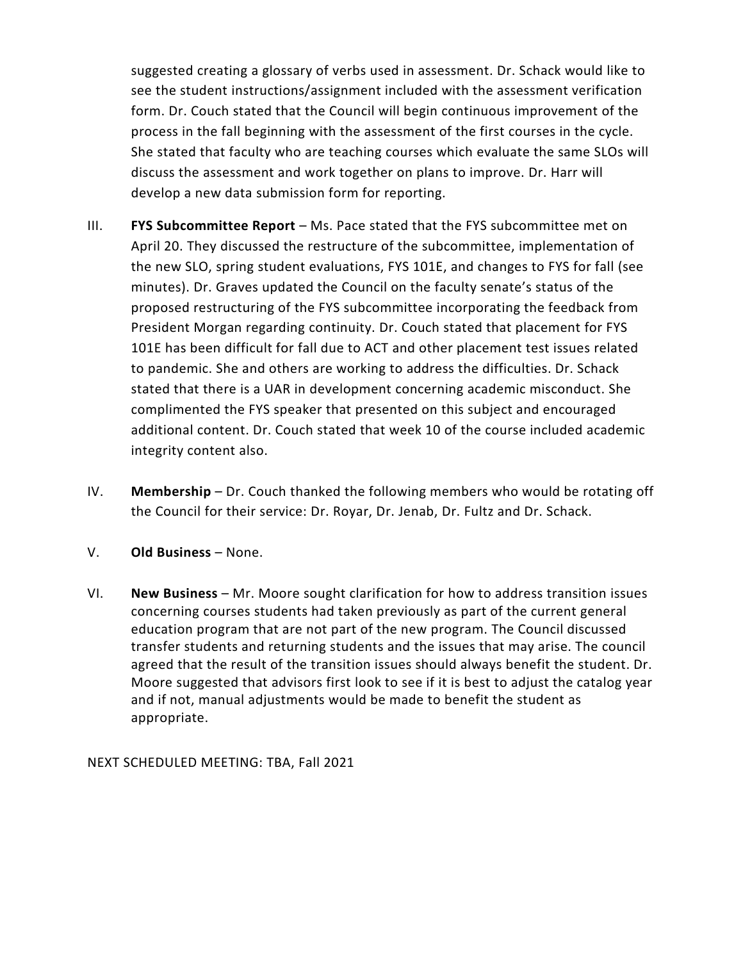suggested creating a glossary of verbs used in assessment. Dr. Schack would like to see the student instructions/assignment included with the assessment verification form. Dr. Couch stated that the Council will begin continuous improvement of the process in the fall beginning with the assessment of the first courses in the cycle. She stated that faculty who are teaching courses which evaluate the same SLOs will discuss the assessment and work together on plans to improve. Dr. Harr will develop a new data submission form for reporting.

- III. **FYS Subcommittee Report** Ms. Pace stated that the FYS subcommittee met on April 20. They discussed the restructure of the subcommittee, implementation of the new SLO, spring student evaluations, FYS 101E, and changes to FYS for fall (see minutes). Dr. Graves updated the Council on the faculty senate's status of the proposed restructuring of the FYS subcommittee incorporating the feedback from President Morgan regarding continuity. Dr. Couch stated that placement for FYS 101E has been difficult for fall due to ACT and other placement test issues related to pandemic. She and others are working to address the difficulties. Dr. Schack stated that there is a UAR in development concerning academic misconduct. She complimented the FYS speaker that presented on this subject and encouraged additional content. Dr. Couch stated that week 10 of the course included academic integrity content also.
- IV. **Membership** Dr. Couch thanked the following members who would be rotating off the Council for their service: Dr. Royar, Dr. Jenab, Dr. Fultz and Dr. Schack.
- V. **Old Business** None.
- VI. **New Business** Mr. Moore sought clarification for how to address transition issues concerning courses students had taken previously as part of the current general education program that are not part of the new program. The Council discussed transfer students and returning students and the issues that may arise. The council agreed that the result of the transition issues should always benefit the student. Dr. Moore suggested that advisors first look to see if it is best to adjust the catalog year and if not, manual adjustments would be made to benefit the student as appropriate.

NEXT SCHEDULED MEETING: TBA, Fall 2021